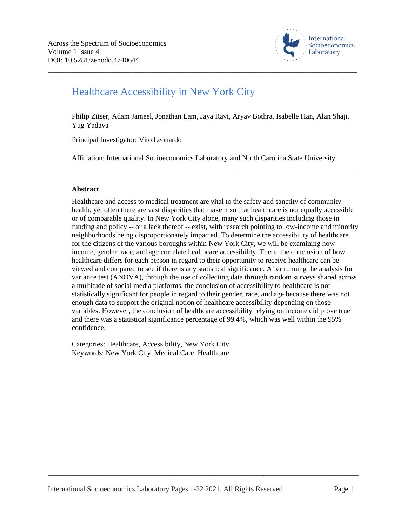

## Healthcare Accessibility in New York City

Philip Zitser, Adam Jameel, Jonathan Lam, Jaya Ravi, Aryav Bothra, Isabelle Han, Alan Shaji, Yug Yadava

\_\_\_\_\_\_\_\_\_\_\_\_\_\_\_\_\_\_\_\_\_\_\_\_\_\_\_\_\_\_\_\_\_\_\_\_\_\_\_\_\_\_\_\_\_\_\_\_\_\_\_\_\_\_\_\_\_\_\_\_\_\_\_\_\_\_\_\_\_\_\_\_\_\_\_\_\_\_\_\_\_\_\_\_\_

Principal Investigator: Vito Leonardo

Affiliation: International Socioeconomics Laboratory and North Carolina State University

\_\_\_\_\_\_\_\_\_\_\_\_\_\_\_\_\_\_\_\_\_\_\_\_\_\_\_\_\_\_\_\_\_\_\_\_\_\_\_\_\_\_\_\_\_\_\_\_\_\_\_\_\_\_\_\_\_\_\_\_\_\_\_\_\_\_\_\_\_\_\_\_\_\_\_\_\_\_

#### **Abstract**

Healthcare and access to medical treatment are vital to the safety and sanctity of community health, yet often there are vast disparities that make it so that healthcare is not equally accessible or of comparable quality. In New York City alone, many such disparities including those in funding and policy -- or a lack thereof -- exist, with research pointing to low-income and minority neighborhoods being disproportionately impacted. To determine the accessibility of healthcare for the citizens of the various boroughs within New York City, we will be examining how income, gender, race, and age correlate healthcare accessibility. There, the conclusion of how healthcare differs for each person in regard to their opportunity to receive healthcare can be viewed and compared to see if there is any statistical significance. After running the analysis for variance test (ANOVA), through the use of collecting data through random surveys shared across a multitude of social media platforms, the conclusion of accessibility to healthcare is not statistically significant for people in regard to their gender, race, and age because there was not enough data to support the original notion of healthcare accessibility depending on those variables. However, the conclusion of healthcare accessibility relying on income did prove true and there was a statistical significance percentage of 99.4%, which was well within the 95% confidence.

\_\_\_\_\_\_\_\_\_\_\_\_\_\_\_\_\_\_\_\_\_\_\_\_\_\_\_\_\_\_\_\_\_\_\_\_\_\_\_\_\_\_\_\_\_\_\_\_\_\_\_\_\_\_\_\_\_\_\_\_\_\_\_\_\_\_\_\_\_\_\_\_\_\_\_\_\_\_

Categories: Healthcare, Accessibility, New York City Keywords: New York City, Medical Care, Healthcare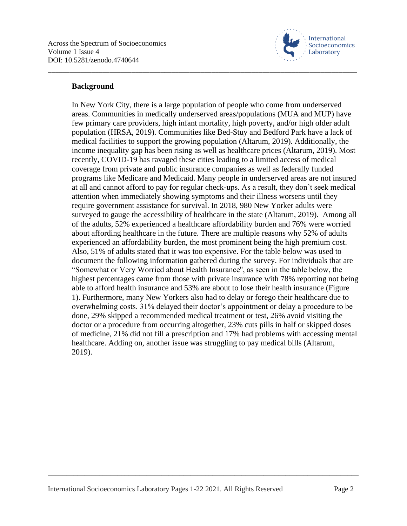

#### **Background**

In New York City, there is a large population of people who come from underserved areas. Communities in medically underserved areas/populations (MUA and MUP) have few primary care providers, high infant mortality, high poverty, and/or high older adult population (HRSA, 2019). Communities like Bed-Stuy and Bedford Park have a lack of medical facilities to support the growing population (Altarum, 2019). Additionally, the income inequality gap has been rising as well as healthcare prices (Altarum, 2019). Most recently, COVID-19 has ravaged these cities leading to a limited access of medical coverage from private and public insurance companies as well as federally funded programs like Medicare and Medicaid. Many people in underserved areas are not insured at all and cannot afford to pay for regular check-ups. As a result, they don't seek medical attention when immediately showing symptoms and their illness worsens until they require government assistance for survival. In 2018, 980 New Yorker adults were surveyed to gauge the accessibility of healthcare in the state (Altarum, 2019). Among all of the adults, 52% experienced a healthcare affordability burden and 76% were worried about affording healthcare in the future. There are multiple reasons why 52% of adults experienced an affordability burden, the most prominent being the high premium cost. Also, 51% of adults stated that it was too expensive. For the table below was used to document the following information gathered during the survey. For individuals that are "Somewhat or Very Worried about Health Insurance'', as seen in the table below, the highest percentages came from those with private insurance with 78% reporting not being able to afford health insurance and 53% are about to lose their health insurance (Figure 1). Furthermore, many New Yorkers also had to delay or forego their healthcare due to overwhelming costs. 31% delayed their doctor's appointment or delay a procedure to be done, 29% skipped a recommended medical treatment or test, 26% avoid visiting the doctor or a procedure from occurring altogether, 23% cuts pills in half or skipped doses of medicine, 21% did not fill a prescription and 17% had problems with accessing mental healthcare. Adding on, another issue was struggling to pay medical bills (Altarum, 2019).

\_\_\_\_\_\_\_\_\_\_\_\_\_\_\_\_\_\_\_\_\_\_\_\_\_\_\_\_\_\_\_\_\_\_\_\_\_\_\_\_\_\_\_\_\_\_\_\_\_\_\_\_\_\_\_\_\_\_\_\_\_\_\_\_\_\_\_\_\_\_\_\_\_\_\_\_\_\_\_\_\_\_\_\_\_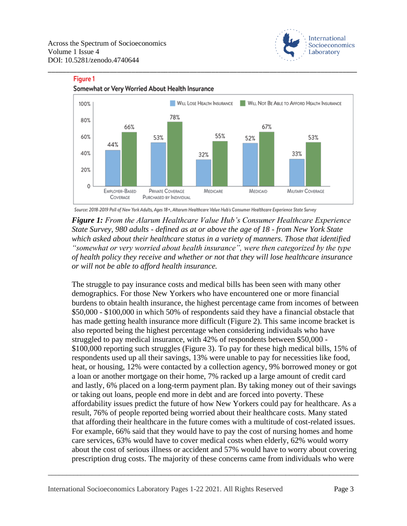**Figure 1** 





\_\_\_\_\_\_\_\_\_\_\_\_\_\_\_\_\_\_\_\_\_\_\_\_\_\_\_\_\_\_\_\_\_\_\_\_\_\_\_\_\_\_\_\_\_\_\_\_\_\_\_\_\_\_\_\_\_\_\_\_\_\_\_\_\_\_\_\_\_\_\_\_\_\_\_\_\_\_\_\_\_\_\_\_\_

#### Somewhat or Very Worried About Health Insurance

Source: 2018-2019 Poll of New York Adults, Ages 18+, Altarum Healthcare Value Hub's Consumer Healthcare Experience State Survey

*Figure 1: From the Alarum Healthcare Value Hub's Consumer Healthcare Experience State Survey, 980 adults - defined as at or above the age of 18 - from New York State which asked about their healthcare status in a variety of manners. Those that identified "somewhat or very worried about health insurance", were then categorized by the type of health policy they receive and whether or not that they will lose healthcare insurance or will not be able to afford health insurance.*

The struggle to pay insurance costs and medical bills has been seen with many other demographics. For those New Yorkers who have encountered one or more financial burdens to obtain health insurance, the highest percentage came from incomes of between \$50,000 - \$100,000 in which 50% of respondents said they have a financial obstacle that has made getting health insurance more difficult (Figure 2). This same income bracket is also reported being the highest percentage when considering individuals who have struggled to pay medical insurance, with 42% of respondents between \$50,000 - \$100,000 reporting such struggles (Figure 3). To pay for these high medical bills, 15% of respondents used up all their savings, 13% were unable to pay for necessities like food, heat, or housing, 12% were contacted by a collection agency, 9% borrowed money or got a loan or another mortgage on their home, 7% racked up a large amount of credit card and lastly, 6% placed on a long-term payment plan. By taking money out of their savings or taking out loans, people end more in debt and are forced into poverty. These affordability issues predict the future of how New Yorkers could pay for healthcare. As a result, 76% of people reported being worried about their healthcare costs. Many stated that affording their healthcare in the future comes with a multitude of cost-related issues. For example, 66% said that they would have to pay the cost of nursing homes and home care services, 63% would have to cover medical costs when elderly, 62% would worry about the cost of serious illness or accident and 57% would have to worry about covering prescription drug costs. The majority of these concerns came from individuals who were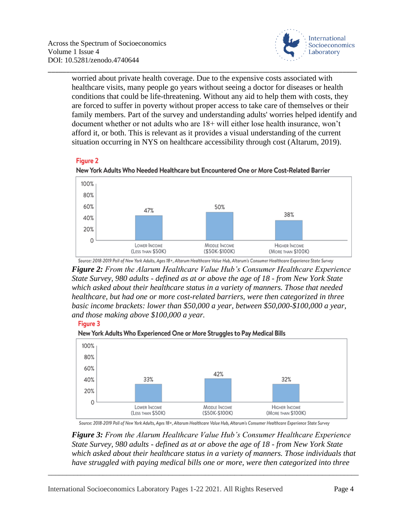

worried about private health coverage. Due to the expensive costs associated with healthcare visits, many people go years without seeing a doctor for diseases or health conditions that could be life-threatening. Without any aid to help them with costs, they are forced to suffer in poverty without proper access to take care of themselves or their family members. Part of the survey and understanding adults' worries helped identify and document whether or not adults who are 18+ will either lose health insurance, won't afford it, or both. This is relevant as it provides a visual understanding of the current situation occurring in NYS on healthcare accessibility through cost (Altarum, 2019).

\_\_\_\_\_\_\_\_\_\_\_\_\_\_\_\_\_\_\_\_\_\_\_\_\_\_\_\_\_\_\_\_\_\_\_\_\_\_\_\_\_\_\_\_\_\_\_\_\_\_\_\_\_\_\_\_\_\_\_\_\_\_\_\_\_\_\_\_\_\_\_\_\_\_\_\_\_\_\_\_\_\_\_\_\_

#### **Figure 2**





Source: 2018-2019 Poll of New York Adults, Ages 18+, Altarum Healthcare Value Hub, Altarum's Consumer Healthcare Experience State Survey *Figure 2: From the Alarum Healthcare Value Hub's Consumer Healthcare Experience State Survey, 980 adults - defined as at or above the age of 18 - from New York State which asked about their healthcare status in a variety of manners. Those that needed healthcare, but had one or more cost-related barriers, were then categorized in three basic income brackets: lower than \$50,000 a year, between \$50,000-\$100,000 a year, and those making above \$100,000 a year.*





New York Adults Who Experienced One or More Struggles to Pay Medical Bills

Source: 2018-2019 Poll of New York Adults, Ages 18+, Altarum Healthcare Value Hub, Altarum's Consumer Healthcare Experience State Survey

\_\_\_\_\_\_\_\_\_\_\_\_\_\_\_\_\_\_\_\_\_\_\_\_\_\_\_\_\_\_\_\_\_\_\_\_\_\_\_\_\_\_\_\_\_\_\_\_\_\_\_\_\_\_\_\_\_\_\_\_\_\_\_\_\_\_\_\_\_\_\_\_\_\_\_\_\_\_\_\_\_\_\_\_\_

*Figure 3: From the Alarum Healthcare Value Hub's Consumer Healthcare Experience State Survey, 980 adults - defined as at or above the age of 18 - from New York State which asked about their healthcare status in a variety of manners. Those individuals that have struggled with paying medical bills one or more, were then categorized into three*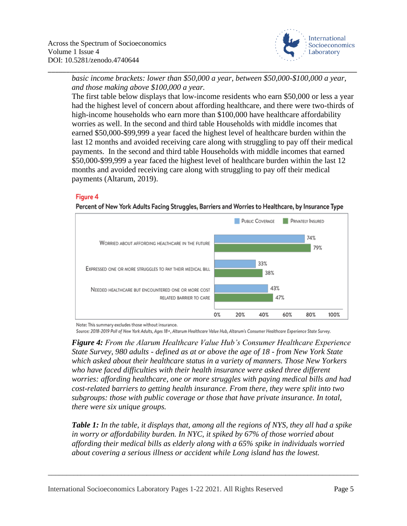

*basic income brackets: lower than \$50,000 a year, between \$50,000-\$100,000 a year, and those making above \$100,000 a year.*

\_\_\_\_\_\_\_\_\_\_\_\_\_\_\_\_\_\_\_\_\_\_\_\_\_\_\_\_\_\_\_\_\_\_\_\_\_\_\_\_\_\_\_\_\_\_\_\_\_\_\_\_\_\_\_\_\_\_\_\_\_\_\_\_\_\_\_\_\_\_\_\_\_\_\_\_\_\_\_\_\_\_\_\_\_

The first table below displays that low-income residents who earn \$50,000 or less a year had the highest level of concern about affording healthcare, and there were two-thirds of high-income households who earn more than \$100,000 have healthcare affordability worries as well. In the second and third table Households with middle incomes that earned \$50,000-\$99,999 a year faced the highest level of healthcare burden within the last 12 months and avoided receiving care along with struggling to pay off their medical payments. In the second and third table Households with middle incomes that earned \$50,000-\$99,999 a year faced the highest level of healthcare burden within the last 12 months and avoided receiving care along with struggling to pay off their medical payments (Altarum, 2019).

#### Figure 4





Note: This summary excludes those without insurance.

Source: 2018-2019 Poll of New York Adults, Ages 18+, Altarum Healthcare Value Hub, Altarum's Consumer Healthcare Experience State Survey.

*Figure 4: From the Alarum Healthcare Value Hub's Consumer Healthcare Experience State Survey, 980 adults - defined as at or above the age of 18 - from New York State which asked about their healthcare status in a variety of manners. Those New Yorkers who have faced difficulties with their health insurance were asked three different worries: affording healthcare, one or more struggles with paying medical bills and had cost-related barriers to getting health insurance. From there, they were split into two subgroups: those with public coverage or those that have private insurance. In total, there were six unique groups.*

*Table 1: In the table, it displays that, among all the regions of NYS, they all had a spike in worry or affordability burden. In NYC, it spiked by 67% of those worried about affording their medical bills as elderly along with a 65% spike in individuals worried about covering a serious illness or accident while Long island has the lowest.*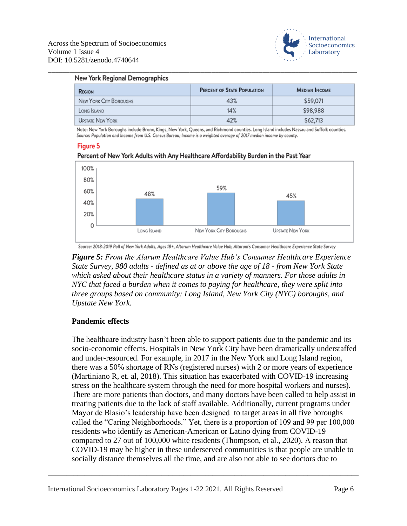

#### New York Regional Demographics

| <b>REGION</b>          | <b>PERCENT OF STATE POPULATION</b> | <b>MEDIAN INCOME</b> |  |
|------------------------|------------------------------------|----------------------|--|
| NEW YORK CITY BOROUGHS | 43%                                | \$59,071             |  |
| LONG ISLAND            | 14%                                | \$98,988             |  |
| UPSTATE NEW YORK       | 42%                                | \$62,713             |  |

\_\_\_\_\_\_\_\_\_\_\_\_\_\_\_\_\_\_\_\_\_\_\_\_\_\_\_\_\_\_\_\_\_\_\_\_\_\_\_\_\_\_\_\_\_\_\_\_\_\_\_\_\_\_\_\_\_\_\_\_\_\_\_\_\_\_\_\_\_\_\_\_\_\_\_\_\_\_\_\_\_\_\_\_\_

Note: New York Boroughs include Bronx, Kings, New York, Queens, and Richmond counties. Long Island includes Nassau and Suffolk counties. Source: Population and Income from U.S. Census Bureau; Income is a weighted average of 2017 median income by county.

#### **Figure 5**



#### Percent of New York Adults with Any Healthcare Affordability Burden in the Past Year

Source: 2018-2019 Poll of New York Adults, Ages 18+, Altarum Healthcare Value Hub, Altarum's Consumer Healthcare Experience State Survey

*Figure 5: From the Alarum Healthcare Value Hub's Consumer Healthcare Experience State Survey, 980 adults - defined as at or above the age of 18 - from New York State which asked about their healthcare status in a variety of manners. For those adults in NYC that faced a burden when it comes to paying for healthcare, they were split into three groups based on community: Long Island, New York City (NYC) boroughs, and Upstate New York.*

#### **Pandemic effects**

The healthcare industry hasn't been able to support patients due to the pandemic and its socio-economic effects. Hospitals in New York City have been dramatically understaffed and under-resourced. For example, in 2017 in the New York and Long Island region, there was a 50% shortage of RNs (registered nurses) with 2 or more years of experience (Martiniano R, et. al, 2018). This situation has exacerbated with COVID-19 increasing stress on the healthcare system through the need for more hospital workers and nurses). There are more patients than doctors, and many doctors have been called to help assist in treating patients due to the lack of staff available. Additionally, current programs under Mayor de Blasio's leadership have been designed to target areas in all five boroughs called the "Caring Neighborhoods." Yet, there is a proportion of 109 and 99 per 100,000 residents who identify as American-American or Latino dying from COVID-19 compared to 27 out of 100,000 white residents (Thompson, et al., 2020). A reason that COVID-19 may be higher in these underserved communities is that people are unable to socially distance themselves all the time, and are also not able to see doctors due to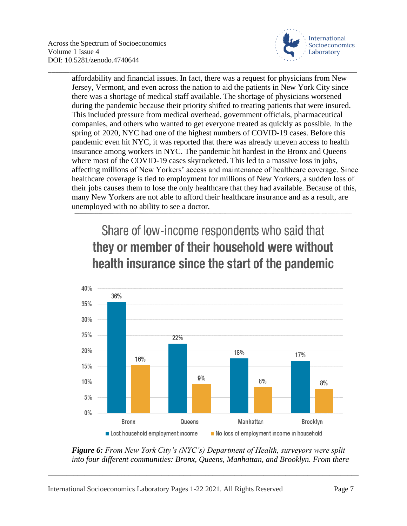

affordability and financial issues. In fact, there was a request for physicians from New Jersey, Vermont, and even across the nation to aid the patients in New York City since there was a shortage of medical staff available. The shortage of physicians worsened during the pandemic because their priority shifted to treating patients that were insured. This included pressure from medical overhead, government officials, pharmaceutical companies, and others who wanted to get everyone treated as quickly as possible. In the spring of 2020, NYC had one of the highest numbers of COVID-19 cases. Before this pandemic even hit NYC, it was reported that there was already uneven access to health insurance among workers in NYC. The pandemic hit hardest in the Bronx and Queens where most of the COVID-19 cases skyrocketed. This led to a massive loss in jobs, affecting millions of New Yorkers' access and maintenance of healthcare coverage. Since healthcare coverage is tied to employment for millions of New Yorkers, a sudden loss of their jobs causes them to lose the only healthcare that they had available. Because of this, many New Yorkers are not able to afford their healthcare insurance and as a result, are unemployed with no ability to see a doctor.

\_\_\_\_\_\_\_\_\_\_\_\_\_\_\_\_\_\_\_\_\_\_\_\_\_\_\_\_\_\_\_\_\_\_\_\_\_\_\_\_\_\_\_\_\_\_\_\_\_\_\_\_\_\_\_\_\_\_\_\_\_\_\_\_\_\_\_\_\_\_\_\_\_\_\_\_\_\_\_\_\_\_\_\_\_

# Share of low-income respondents who said that they or member of their household were without health insurance since the start of the pandemic



*Figure 6: From New York City's (NYC's) Department of Health, surveyors were split into four different communities: Bronx, Queens, Manhattan, and Brooklyn. From there*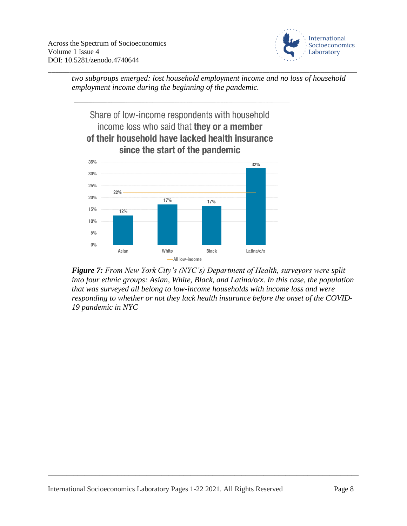

\_\_\_\_\_\_\_\_\_\_\_\_\_\_\_\_\_\_\_\_\_\_\_\_\_\_\_\_\_\_\_\_\_\_\_\_\_\_\_\_\_\_\_\_\_\_\_\_\_\_\_\_\_\_\_\_\_\_\_\_\_\_\_\_\_\_\_\_\_\_\_\_\_\_\_\_\_\_\_\_\_\_\_\_\_ *two subgroups emerged: lost household employment income and no loss of household employment income during the beginning of the pandemic.*

> Share of low-income respondents with household income loss who said that they or a member of their household have lacked health insurance since the start of the pandemic



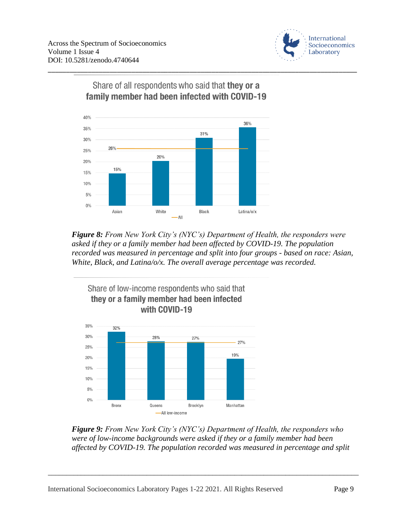



Share of all respondents who said that they or a family member had been infected with COVID-19

\_\_\_\_\_\_\_\_\_\_\_\_\_\_\_\_\_\_\_\_\_\_\_\_\_\_\_\_\_\_\_\_\_\_\_\_\_\_\_\_\_\_\_\_\_\_\_\_\_\_\_\_\_\_\_\_\_\_\_\_\_\_\_\_\_\_\_\_\_\_\_\_\_\_\_\_\_\_\_\_\_\_\_\_\_

*Figure 8: From New York City's (NYC's) Department of Health, the responders were asked if they or a family member had been affected by COVID-19. The population recorded was measured in percentage and split into four groups - based on race: Asian, White, Black, and Latina/o/x. The overall average percentage was recorded.*



*Figure 9: From New York City's (NYC's) Department of Health, the responders who were of low-income backgrounds were asked if they or a family member had been affected by COVID-19. The population recorded was measured in percentage and split*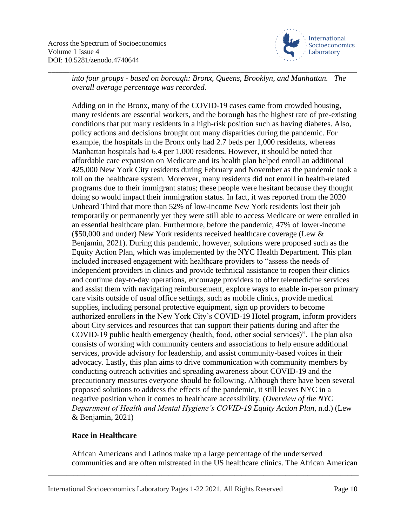

*into four groups - based on borough: Bronx, Queens, Brooklyn, and Manhattan. The overall average percentage was recorded.*

\_\_\_\_\_\_\_\_\_\_\_\_\_\_\_\_\_\_\_\_\_\_\_\_\_\_\_\_\_\_\_\_\_\_\_\_\_\_\_\_\_\_\_\_\_\_\_\_\_\_\_\_\_\_\_\_\_\_\_\_\_\_\_\_\_\_\_\_\_\_\_\_\_\_\_\_\_\_\_\_\_\_\_\_\_

Adding on in the Bronx, many of the COVID-19 cases came from crowded housing, many residents are essential workers, and the borough has the highest rate of pre-existing conditions that put many residents in a high-risk position such as having diabetes. Also, policy actions and decisions brought out many disparities during the pandemic. For example, the hospitals in the Bronx only had 2.7 beds per 1,000 residents, whereas Manhattan hospitals had 6.4 per 1,000 residents. However, it should be noted that affordable care expansion on Medicare and its health plan helped enroll an additional 425,000 New York City residents during February and November as the pandemic took a toll on the healthcare system. Moreover, many residents did not enroll in health-related programs due to their immigrant status; these people were hesitant because they thought doing so would impact their immigration status. In fact, it was reported from the 2020 Unheard Third that more than 52% of low-income New York residents lost their job temporarily or permanently yet they were still able to access Medicare or were enrolled in an essential healthcare plan. Furthermore, before the pandemic, 47% of lower-income (\$50,000 and under) New York residents received healthcare coverage (Lew & Benjamin, 2021). During this pandemic, however, solutions were proposed such as the Equity Action Plan, which was implemented by the NYC Health Department. This plan included increased engagement with healthcare providers to "assess the needs of independent providers in clinics and provide technical assistance to reopen their clinics and continue day-to-day operations, encourage providers to offer telemedicine services and assist them with navigating reimbursement, explore ways to enable in-person primary care visits outside of usual office settings, such as mobile clinics, provide medical supplies, including personal protective equipment, sign up providers to become authorized enrollers in the New York City's COVID-19 Hotel program, inform providers about City services and resources that can support their patients during and after the COVID-19 public health emergency (health, food, other social services)". The plan also consists of working with community centers and associations to help ensure additional services, provide advisory for leadership, and assist community-based voices in their advocacy. Lastly, this plan aims to drive communication with community members by conducting outreach activities and spreading awareness about COVID-19 and the precautionary measures everyone should be following. Although there have been several proposed solutions to address the effects of the pandemic, it still leaves NYC in a negative position when it comes to healthcare accessibility. (*Overview of the NYC Department of Health and Mental Hygiene's COVID-19 Equity Action Plan*, n.d.) (Lew & Benjamin, 2021)

#### **Race in Healthcare**

African Americans and Latinos make up a large percentage of the underserved communities and are often mistreated in the US healthcare clinics. The African American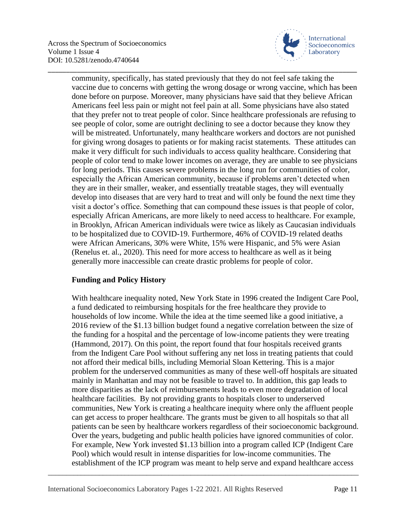

community, specifically, has stated previously that they do not feel safe taking the vaccine due to concerns with getting the wrong dosage or wrong vaccine, which has been done before on purpose. Moreover, many physicians have said that they believe African Americans feel less pain or might not feel pain at all. Some physicians have also stated that they prefer not to treat people of color. Since healthcare professionals are refusing to see people of color, some are outright declining to see a doctor because they know they will be mistreated. Unfortunately, many healthcare workers and doctors are not punished for giving wrong dosages to patients or for making racist statements. These attitudes can make it very difficult for such individuals to access quality healthcare. Considering that people of color tend to make lower incomes on average, they are unable to see physicians for long periods. This causes severe problems in the long run for communities of color, especially the African American community, because if problems aren't detected when they are in their smaller, weaker, and essentially treatable stages, they will eventually develop into diseases that are very hard to treat and will only be found the next time they visit a doctor's office. Something that can compound these issues is that people of color, especially African Americans, are more likely to need access to healthcare. For example, in Brooklyn, African American individuals were twice as likely as Caucasian individuals to be hospitalized due to COVID-19. Furthermore, 46% of COVID-19 related deaths were African Americans, 30% were White, 15% were Hispanic, and 5% were Asian (Renelus et. al., 2020). This need for more access to healthcare as well as it being generally more inaccessible can create drastic problems for people of color.

\_\_\_\_\_\_\_\_\_\_\_\_\_\_\_\_\_\_\_\_\_\_\_\_\_\_\_\_\_\_\_\_\_\_\_\_\_\_\_\_\_\_\_\_\_\_\_\_\_\_\_\_\_\_\_\_\_\_\_\_\_\_\_\_\_\_\_\_\_\_\_\_\_\_\_\_\_\_\_\_\_\_\_\_\_

## **Funding and Policy History**

With healthcare inequality noted, New York State in 1996 created the Indigent Care Pool, a fund dedicated to reimbursing hospitals for the free healthcare they provide to households of low income. While the idea at the time seemed like a good initiative, a 2016 review of the \$1.13 billion budget found a negative correlation between the size of the funding for a hospital and the percentage of low-income patients they were treating (Hammond, 2017). On this point, the report found that four hospitals received grants from the Indigent Care Pool without suffering any net loss in treating patients that could not afford their medical bills, including Memorial Sloan Kettering. This is a major problem for the underserved communities as many of these well-off hospitals are situated mainly in Manhattan and may not be feasible to travel to. In addition, this gap leads to more disparities as the lack of reimbursements leads to even more degradation of local healthcare facilities. By not providing grants to hospitals closer to underserved communities, New York is creating a healthcare inequity where only the affluent people can get access to proper healthcare. The grants must be given to all hospitals so that all patients can be seen by healthcare workers regardless of their socioeconomic background. Over the years, budgeting and public health policies have ignored communities of color. For example, New York invested \$1.13 billion into a program called ICP (Indigent Care Pool) which would result in intense disparities for low-income communities. The establishment of the ICP program was meant to help serve and expand healthcare access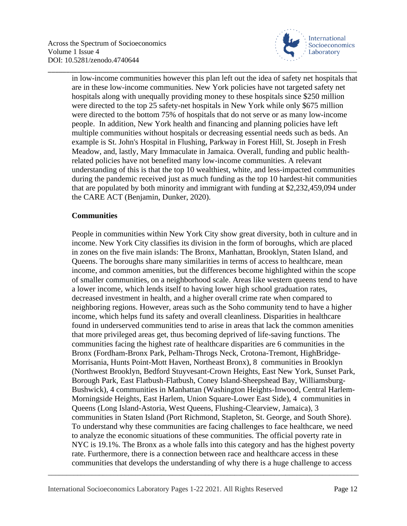

in low-income communities however this plan left out the idea of safety net hospitals that are in these low-income communities. New York policies have not targeted safety net hospitals along with unequally providing money to these hospitals since \$250 million were directed to the top 25 safety-net hospitals in New York while only \$675 million were directed to the bottom 75% of hospitals that do not serve or as many low-income people. In addition, New York health and financing and planning policies have left multiple communities without hospitals or decreasing essential needs such as beds. An example is St. John's Hospital in Flushing, Parkway in Forest Hill, St. Joseph in Fresh Meadow, and, lastly, Mary Immaculate in Jamaica. Overall, funding and public healthrelated policies have not benefited many low-income communities. A relevant understanding of this is that the top 10 wealthiest, white, and less-impacted communities during the pandemic received just as much funding as the top 10 hardest-hit communities that are populated by both minority and immigrant with funding at \$2,232,459,094 under the CARE ACT (Benjamin, Dunker, 2020).

\_\_\_\_\_\_\_\_\_\_\_\_\_\_\_\_\_\_\_\_\_\_\_\_\_\_\_\_\_\_\_\_\_\_\_\_\_\_\_\_\_\_\_\_\_\_\_\_\_\_\_\_\_\_\_\_\_\_\_\_\_\_\_\_\_\_\_\_\_\_\_\_\_\_\_\_\_\_\_\_\_\_\_\_\_

## **Communities**

People in communities within New York City show great diversity, both in culture and in income. New York City classifies its division in the form of boroughs, which are placed in zones on the five main islands: The Bronx, Manhattan, Brooklyn, Staten Island, and Queens. The boroughs share many similarities in terms of access to healthcare, mean income, and common amenities, but the differences become highlighted within the scope of smaller communities, on a neighborhood scale. Areas like western queens tend to have a lower income, which lends itself to having lower high school graduation rates, decreased investment in health, and a higher overall crime rate when compared to neighboring regions. However, areas such as the Soho community tend to have a higher income, which helps fund its safety and overall cleanliness. Disparities in healthcare found in underserved communities tend to arise in areas that lack the common amenities that more privileged areas get, thus becoming deprived of life-saving functions. The communities facing the highest rate of healthcare disparities are 6 communities in the Bronx (Fordham-Bronx Park, Pelham-Throgs Neck, Crotona-Tremont, HighBridge-Morrisania, Hunts Point-Mott Haven, Northeast Bronx), 8 communities in Brooklyn (Northwest Brooklyn, Bedford Stuyvesant-Crown Heights, East New York, Sunset Park, Borough Park, East Flatbush-Flatbush, Coney Island-Sheepshead Bay, Williamsburg-Bushwick), 4 communities in Manhattan (Washington Heights-Inwood, Central Harlem-Morningside Heights, East Harlem, Union Square-Lower East Side), 4 communities in Queens (Long Island-Astoria, West Queens, Flushing-Clearview, Jamaica), 3 communities in Staten Island (Port Richmond, Stapleton, St. George, and South Shore). To understand why these communities are facing challenges to face healthcare, we need to analyze the economic situations of these communities. The official poverty rate in NYC is 19.1%. The Bronx as a whole falls into this category and has the highest poverty rate. Furthermore, there is a connection between race and healthcare access in these communities that develops the understanding of why there is a huge challenge to access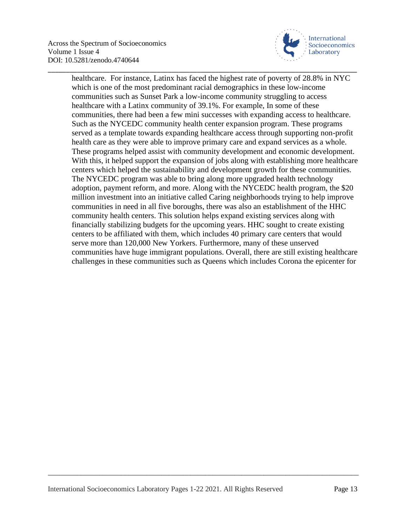

healthcare. For instance, Latinx has faced the highest rate of poverty of 28.8% in NYC which is one of the most predominant racial demographics in these low-income communities such as Sunset Park a low-income community struggling to access healthcare with a Latinx community of 39.1%. For example, In some of these communities, there had been a few mini successes with expanding access to healthcare. Such as the NYCEDC community health center expansion program. These programs served as a template towards expanding healthcare access through supporting non-profit health care as they were able to improve primary care and expand services as a whole. These programs helped assist with community development and economic development. With this, it helped support the expansion of jobs along with establishing more healthcare centers which helped the sustainability and development growth for these communities. The NYCEDC program was able to bring along more upgraded health technology adoption, payment reform, and more. Along with the NYCEDC health program, the \$20 million investment into an initiative called Caring neighborhoods trying to help improve communities in need in all five boroughs, there was also an establishment of the HHC community health centers. This solution helps expand existing services along with financially stabilizing budgets for the upcoming years. HHC sought to create existing centers to be affiliated with them, which includes 40 primary care centers that would serve more than 120,000 New Yorkers. Furthermore, many of these unserved communities have huge immigrant populations. Overall, there are still existing healthcare challenges in these communities such as Queens which includes Corona the epicenter for

\_\_\_\_\_\_\_\_\_\_\_\_\_\_\_\_\_\_\_\_\_\_\_\_\_\_\_\_\_\_\_\_\_\_\_\_\_\_\_\_\_\_\_\_\_\_\_\_\_\_\_\_\_\_\_\_\_\_\_\_\_\_\_\_\_\_\_\_\_\_\_\_\_\_\_\_\_\_\_\_\_\_\_\_\_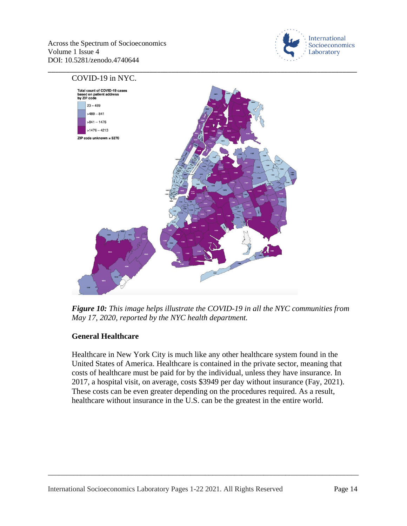



*Figure 10: This image helps illustrate the COVID-19 in all the NYC communities from May 17, 2020, reported by the NYC health department.*

## **General Healthcare**

Healthcare in New York City is much like any other healthcare system found in the United States of America. Healthcare is contained in the private sector, meaning that costs of healthcare must be paid for by the individual, unless they have insurance. In 2017, a hospital visit, on average, costs \$3949 per day without insurance (Fay, 2021). These costs can be even greater depending on the procedures required. As a result, healthcare without insurance in the U.S. can be the greatest in the entire world.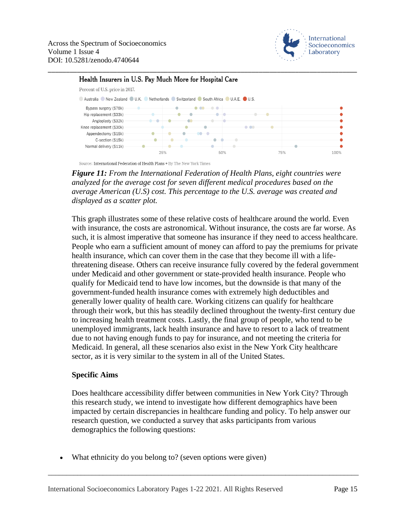

#### Health Insurers in U.S. Pay Much More for Hospital Care



\_\_\_\_\_\_\_\_\_\_\_\_\_\_\_\_\_\_\_\_\_\_\_\_\_\_\_\_\_\_\_\_\_\_\_\_\_\_\_\_\_\_\_\_\_\_\_\_\_\_\_\_\_\_\_\_\_\_\_\_\_\_\_\_\_\_\_\_\_\_\_\_\_\_\_\_\_\_\_\_\_\_\_\_\_

Source: International Federation of Health Plans . By The New York Times

*Figure 11: From the International Federation of Health Plans, eight countries were analyzed for the average cost for seven different medical procedures based on the average American (U.S) cost. This percentage to the U.S. average was created and displayed as a scatter plot.*

This graph illustrates some of these relative costs of healthcare around the world. Even with insurance, the costs are astronomical. Without insurance, the costs are far worse. As such, it is almost imperative that someone has insurance if they need to access healthcare. People who earn a sufficient amount of money can afford to pay the premiums for private health insurance, which can cover them in the case that they become ill with a lifethreatening disease. Others can receive insurance fully covered by the federal government under Medicaid and other government or state-provided health insurance. People who qualify for Medicaid tend to have low incomes, but the downside is that many of the government-funded health insurance comes with extremely high deductibles and generally lower quality of health care. Working citizens can qualify for healthcare through their work, but this has steadily declined throughout the twenty-first century due to increasing health treatment costs. Lastly, the final group of people, who tend to be unemployed immigrants, lack health insurance and have to resort to a lack of treatment due to not having enough funds to pay for insurance, and not meeting the criteria for Medicaid. In general, all these scenarios also exist in the New York City healthcare sector, as it is very similar to the system in all of the United States.

#### **Specific Aims**

Does healthcare accessibility differ between communities in New York City? Through this research study, we intend to investigate how different demographics have been impacted by certain discrepancies in healthcare funding and policy. To help answer our research question, we conducted a survey that asks participants from various demographics the following questions:

\_\_\_\_\_\_\_\_\_\_\_\_\_\_\_\_\_\_\_\_\_\_\_\_\_\_\_\_\_\_\_\_\_\_\_\_\_\_\_\_\_\_\_\_\_\_\_\_\_\_\_\_\_\_\_\_\_\_\_\_\_\_\_\_\_\_\_\_\_\_\_\_\_\_\_\_\_\_\_\_\_\_\_\_\_

What ethnicity do you belong to? (seven options were given)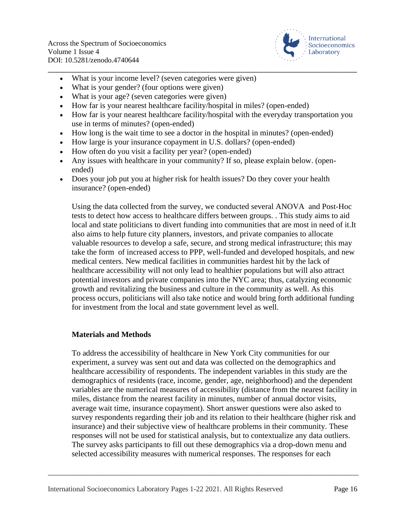

- What is your income level? (seven categories were given)
- What is your gender? (four options were given)
- What is your age? (seven categories were given)
- How far is your nearest healthcare facility/hospital in miles? (open-ended)
- How far is your nearest healthcare facility/hospital with the everyday transportation you use in terms of minutes? (open-ended)

\_\_\_\_\_\_\_\_\_\_\_\_\_\_\_\_\_\_\_\_\_\_\_\_\_\_\_\_\_\_\_\_\_\_\_\_\_\_\_\_\_\_\_\_\_\_\_\_\_\_\_\_\_\_\_\_\_\_\_\_\_\_\_\_\_\_\_\_\_\_\_\_\_\_\_\_\_\_\_\_\_\_\_\_\_

- How long is the wait time to see a doctor in the hospital in minutes? (open-ended)
- How large is your insurance copayment in U.S. dollars? (open-ended)
- How often do you visit a facility per year? (open-ended)
- Any issues with healthcare in your community? If so, please explain below. (openended)
- Does your job put you at higher risk for health issues? Do they cover your health insurance? (open-ended)

Using the data collected from the survey, we conducted several ANOVA and Post-Hoc tests to detect how access to healthcare differs between groups. . This study aims to aid local and state politicians to divert funding into communities that are most in need of it.It also aims to help future city planners, investors, and private companies to allocate valuable resources to develop a safe, secure, and strong medical infrastructure; this may take the form of increased access to PPP, well-funded and developed hospitals, and new medical centers. New medical facilities in communities hardest hit by the lack of healthcare accessibility will not only lead to healthier populations but will also attract potential investors and private companies into the NYC area; thus, catalyzing economic growth and revitalizing the business and culture in the community as well. As this process occurs, politicians will also take notice and would bring forth additional funding for investment from the local and state government level as well.

## **Materials and Methods**

To address the accessibility of healthcare in New York City communities for our experiment, a survey was sent out and data was collected on the demographics and healthcare accessibility of respondents. The independent variables in this study are the demographics of residents (race, income, gender, age, neighborhood) and the dependent variables are the numerical measures of accessibility (distance from the nearest facility in miles, distance from the nearest facility in minutes, number of annual doctor visits, average wait time, insurance copayment). Short answer questions were also asked to survey respondents regarding their job and its relation to their healthcare (higher risk and insurance) and their subjective view of healthcare problems in their community. These responses will not be used for statistical analysis, but to contextualize any data outliers. The survey asks participants to fill out these demographics via a drop-down menu and selected accessibility measures with numerical responses. The responses for each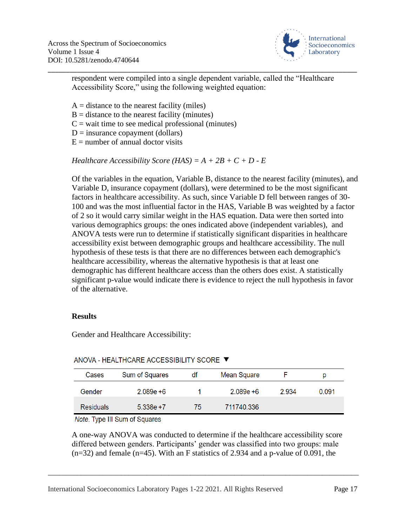

\_\_\_\_\_\_\_\_\_\_\_\_\_\_\_\_\_\_\_\_\_\_\_\_\_\_\_\_\_\_\_\_\_\_\_\_\_\_\_\_\_\_\_\_\_\_\_\_\_\_\_\_\_\_\_\_\_\_\_\_\_\_\_\_\_\_\_\_\_\_\_\_\_\_\_\_\_\_\_\_\_\_\_\_\_ respondent were compiled into a single dependent variable, called the "Healthcare Accessibility Score," using the following weighted equation:

- $A =$  distance to the nearest facility (miles)
- $B =$  distance to the nearest facility (minutes)
- $C$  = wait time to see medical professional (minutes)
- $D =$  insurance copayment (dollars)
- $E =$  number of annual doctor visits

*Healthcare Accessibility Score* (*HAS*) =  $A + 2B + C + D - E$ 

Of the variables in the equation, Variable B, distance to the nearest facility (minutes), and Variable D, insurance copayment (dollars), were determined to be the most significant factors in healthcare accessibility. As such, since Variable D fell between ranges of 30- 100 and was the most influential factor in the HAS, Variable B was weighted by a factor of 2 so it would carry similar weight in the HAS equation. Data were then sorted into various demographics groups: the ones indicated above (independent variables), and ANOVA tests were run to determine if statistically significant disparities in healthcare accessibility exist between demographic groups and healthcare accessibility. The null hypothesis of these tests is that there are no differences between each demographic's healthcare accessibility, whereas the alternative hypothesis is that at least one demographic has different healthcare access than the others does exist. A statistically significant p-value would indicate there is evidence to reject the null hypothesis in favor of the alternative.

#### **Results**

Gender and Healthcare Accessibility:

| Cases            | Sum of Squares | df | Mean Square  |      | D     |
|------------------|----------------|----|--------------|------|-------|
| Gender           | $2.089e + 6$   |    | $2.089e + 6$ | 2934 | 0.091 |
| <b>Residuals</b> | $5.338e + 7$   | 75 | 711740.336   |      |       |

ANOVA - HEALTHCARE ACCESSIBILITY SCORE ▼

Note. Type III Sum of Squares

A one-way ANOVA was conducted to determine if the healthcare accessibility score differed between genders. Participants' gender was classified into two groups: male  $(n=32)$  and female  $(n=45)$ . With an F statistics of 2.934 and a p-value of 0.091, the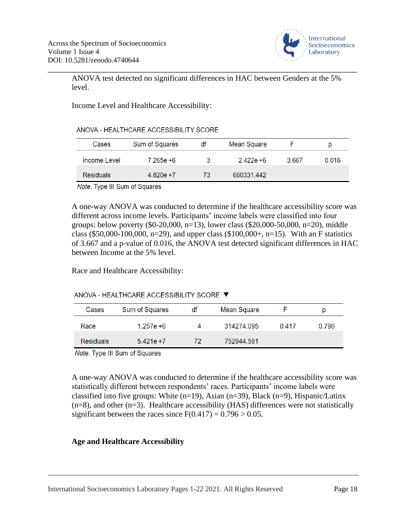

ANOVA test detected no significant differences in HAC between Genders at the 5% level.

\_\_\_\_\_\_\_\_\_\_\_\_\_\_\_\_\_\_\_\_\_\_\_\_\_\_\_\_\_\_\_\_\_\_\_\_\_\_\_\_\_\_\_\_\_\_\_\_\_\_\_\_\_\_\_\_\_\_\_\_\_\_\_\_\_\_\_\_\_\_\_\_\_\_\_\_\_\_\_\_\_\_\_\_\_

Income Level and Healthcare Accessibility:

|  | ANOVA - HEALTHCARE ACCESSIBILITY SCORE |
|--|----------------------------------------|
|--|----------------------------------------|

| Cases            | Sum of Squares | df | Mean Square  |      | D     |
|------------------|----------------|----|--------------|------|-------|
| Income Level     | 7.265e +6      | З  | $2.422e + 6$ | 3667 | 0.016 |
| <b>Residuals</b> | $4.820e + 7$   | 73 | 660331.442   |      |       |

Note. Type III Sum of Squares

A one-way ANOVA was conducted to determine if the healthcare accessibility score was different across income levels. Participants' income labels were classified into four groups: below poverty  $(\$0-20,000, n=13)$ , lower class  $(\$20,000-50,000, n=20)$ , middle class (\$50,000-100,000, n=29), and upper class (\$100,000+, n=15). With an F statistics of 3.667 and a p-value of 0.016, the ANOVA test detected significant differences in HAC between Income at the 5% level.

Race and Healthcare Accessibility:

## ANOVA - HEALTHCARE ACCESSIBILITY SCORE ▼

| Cases            | Sum of Squares | df | Mean Square |       | p     |
|------------------|----------------|----|-------------|-------|-------|
| Race             | $1.257e + 6$   | Δ  | 314274 095  | 0.417 | 0.796 |
| <b>Residuals</b> | $5.421e + 7$   | 72 | 752944.581  |       |       |

Note. Type III Sum of Squares

A one-way ANOVA was conducted to determine if the healthcare accessibility score was statistically different between respondents' races. Participants' income labels were classified into five groups: White  $(n=19)$ , Asian  $(n=39)$ , Black  $(n=9)$ , Hispanic/Latinx  $(n=8)$ , and other  $(n=3)$ . Healthcare accessibility (HAS) differences were not statistically significant between the races since  $F(0.417) = 0.796 > 0.05$ .

\_\_\_\_\_\_\_\_\_\_\_\_\_\_\_\_\_\_\_\_\_\_\_\_\_\_\_\_\_\_\_\_\_\_\_\_\_\_\_\_\_\_\_\_\_\_\_\_\_\_\_\_\_\_\_\_\_\_\_\_\_\_\_\_\_\_\_\_\_\_\_\_\_\_\_\_\_\_\_\_\_\_\_\_\_

## **Age and Healthcare Accessibility**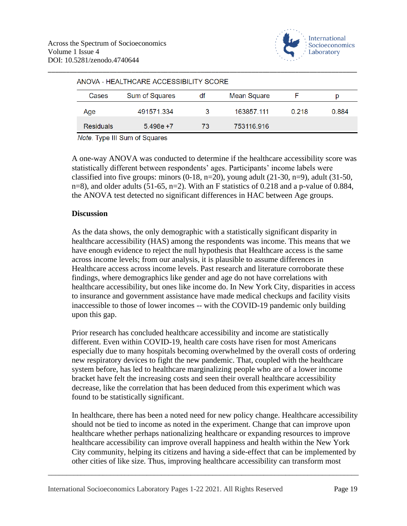

| ANOVA - HEALTHCARE ACCESSIBILITY SCORE |                |    |             |       |       |  |
|----------------------------------------|----------------|----|-------------|-------|-------|--|
| Cases                                  | Sum of Squares | df | Mean Square |       | D     |  |
| Age                                    | 491571.334     | 3  | 163857.111  | 0.218 | 0.884 |  |
| <b>Residuals</b>                       | $5.498e + 7$   | 73 | 753116.916  |       |       |  |
|                                        |                |    |             |       |       |  |

\_\_\_\_\_\_\_\_\_\_\_\_\_\_\_\_\_\_\_\_\_\_\_\_\_\_\_\_\_\_\_\_\_\_\_\_\_\_\_\_\_\_\_\_\_\_\_\_\_\_\_\_\_\_\_\_\_\_\_\_\_\_\_\_\_\_\_\_\_\_\_\_\_\_\_\_\_\_\_\_\_\_\_\_\_

Note. Type III Sum of Squares

A one-way ANOVA was conducted to determine if the healthcare accessibility score was statistically different between respondents' ages. Participants' income labels were classified into five groups: minors  $(0-18, n=20)$ , young adult  $(21-30, n=9)$ , adult  $(31-50, n=1)$ n=8), and older adults (51-65, n=2). With an F statistics of 0.218 and a p-value of 0.884, the ANOVA test detected no significant differences in HAC between Age groups.

#### **Discussion**

As the data shows, the only demographic with a statistically significant disparity in healthcare accessibility (HAS) among the respondents was income. This means that we have enough evidence to reject the null hypothesis that Healthcare access is the same across income levels; from our analysis, it is plausible to assume differences in Healthcare access across income levels. Past research and literature corroborate these findings, where demographics like gender and age do not have correlations with healthcare accessibility, but ones like income do. In New York City, disparities in access to insurance and government assistance have made medical checkups and facility visits inaccessible to those of lower incomes -- with the COVID-19 pandemic only building upon this gap.

Prior research has concluded healthcare accessibility and income are statistically different. Even within COVID-19, health care costs have risen for most Americans especially due to many hospitals becoming overwhelmed by the overall costs of ordering new respiratory devices to fight the new pandemic. That, coupled with the healthcare system before, has led to healthcare marginalizing people who are of a lower income bracket have felt the increasing costs and seen their overall healthcare accessibility decrease, like the correlation that has been deduced from this experiment which was found to be statistically significant.

In healthcare, there has been a noted need for new policy change. Healthcare accessibility should not be tied to income as noted in the experiment. Change that can improve upon healthcare whether perhaps nationalizing healthcare or expanding resources to improve healthcare accessibility can improve overall happiness and health within the New York City community, helping its citizens and having a side-effect that can be implemented by other cities of like size. Thus, improving healthcare accessibility can transform most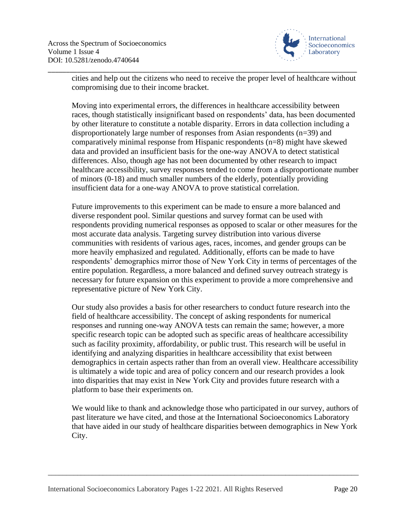

cities and help out the citizens who need to receive the proper level of healthcare without compromising due to their income bracket.

\_\_\_\_\_\_\_\_\_\_\_\_\_\_\_\_\_\_\_\_\_\_\_\_\_\_\_\_\_\_\_\_\_\_\_\_\_\_\_\_\_\_\_\_\_\_\_\_\_\_\_\_\_\_\_\_\_\_\_\_\_\_\_\_\_\_\_\_\_\_\_\_\_\_\_\_\_\_\_\_\_\_\_\_\_

Moving into experimental errors, the differences in healthcare accessibility between races, though statistically insignificant based on respondents' data, has been documented by other literature to constitute a notable disparity. Errors in data collection including a disproportionately large number of responses from Asian respondents (n=39) and comparatively minimal response from Hispanic respondents (n=8) might have skewed data and provided an insufficient basis for the one-way ANOVA to detect statistical differences. Also, though age has not been documented by other research to impact healthcare accessibility, survey responses tended to come from a disproportionate number of minors (0-18) and much smaller numbers of the elderly, potentially providing insufficient data for a one-way ANOVA to prove statistical correlation.

Future improvements to this experiment can be made to ensure a more balanced and diverse respondent pool. Similar questions and survey format can be used with respondents providing numerical responses as opposed to scalar or other measures for the most accurate data analysis. Targeting survey distribution into various diverse communities with residents of various ages, races, incomes, and gender groups can be more heavily emphasized and regulated. Additionally, efforts can be made to have respondents' demographics mirror those of New York City in terms of percentages of the entire population. Regardless, a more balanced and defined survey outreach strategy is necessary for future expansion on this experiment to provide a more comprehensive and representative picture of New York City.

Our study also provides a basis for other researchers to conduct future research into the field of healthcare accessibility. The concept of asking respondents for numerical responses and running one-way ANOVA tests can remain the same; however, a more specific research topic can be adopted such as specific areas of healthcare accessibility such as facility proximity, affordability, or public trust. This research will be useful in identifying and analyzing disparities in healthcare accessibility that exist between demographics in certain aspects rather than from an overall view. Healthcare accessibility is ultimately a wide topic and area of policy concern and our research provides a look into disparities that may exist in New York City and provides future research with a platform to base their experiments on.

We would like to thank and acknowledge those who participated in our survey, authors of past literature we have cited, and those at the International Socioeconomics Laboratory that have aided in our study of healthcare disparities between demographics in New York City.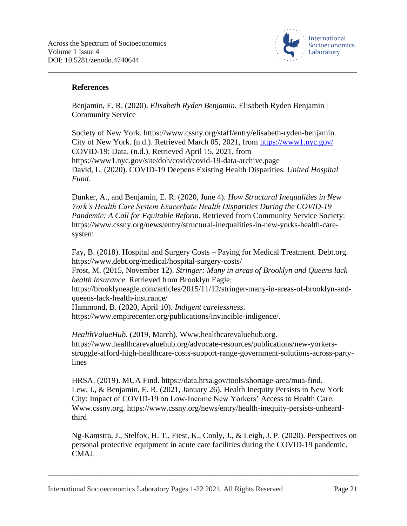

#### **References**

Benjamin, E. R. (2020). *Elisabeth Ryden Benjamin*. Elisabeth Ryden Benjamin | Community Service

\_\_\_\_\_\_\_\_\_\_\_\_\_\_\_\_\_\_\_\_\_\_\_\_\_\_\_\_\_\_\_\_\_\_\_\_\_\_\_\_\_\_\_\_\_\_\_\_\_\_\_\_\_\_\_\_\_\_\_\_\_\_\_\_\_\_\_\_\_\_\_\_\_\_\_\_\_\_\_\_\_\_\_\_\_

Society of New York. https://www.cssny.org/staff/entry/elisabeth-ryden-benjamin. City of New York. (n.d.). Retrieved March 05, 2021, from<https://www1.nyc.gov/> COVID-19: Data. (n.d.). Retrieved April 15, 2021, from https://www1.nyc.gov/site/doh/covid/covid-19-data-archive.page David, L. (2020). COVID-19 Deepens Existing Health Disparities. *United Hospital Fund*.

Dunker, A., and Benjamin, E. R. (2020, June 4). *How Structural Inequalities in New York's Health Care System Exacerbate Health Disparities During the COVID-19 Pandemic: A Call for Equitable Reform*. Retrieved from Community Service Society: https://www.cssny.org/news/entry/structural-inequalities-in-new-yorks-health-caresystem

Fay, B. (2018). Hospital and Surgery Costs – Paying for Medical Treatment. Debt.org. https://www.debt.org/medical/hospital-surgery-costs/ Frost, M. (2015, November 12). *Stringer: Many in areas of Brooklyn and Queens lack health insurance*. Retrieved from Brooklyn Eagle: https://brooklyneagle.com/articles/2015/11/12/stringer-many-in-areas-of-brooklyn-andqueens-lack-health-insurance/ Hammond, B. (2020, April 10). *Indigent carelessness*. https://www.empirecenter.org/publications/invincible-indigence/.

*HealthValueHub*. (2019, March). Www.healthcarevaluehub.org. https://www.healthcarevaluehub.org/advocate-resources/publications/new-yorkersstruggle-afford-high-healthcare-costs-support-range-government-solutions-across-partylines

HRSA. (2019). MUA Find. https://data.hrsa.gov/tools/shortage-area/mua-find. Lew, I., & Benjamin, E. R. (2021, January 26). Health Inequity Persists in New York City: Impact of COVID-19 on Low-Income New Yorkers' Access to Health Care. Www.cssny.org. https://www.cssny.org/news/entry/health-inequity-persists-unheardthird

Ng-Kamstra, J., Stelfox, H. T., Fiest, K., Conly, J., & Leigh, J. P. (2020). Perspectives on personal protective equipment in acute care facilities during the COVID-19 pandemic. CMAJ.